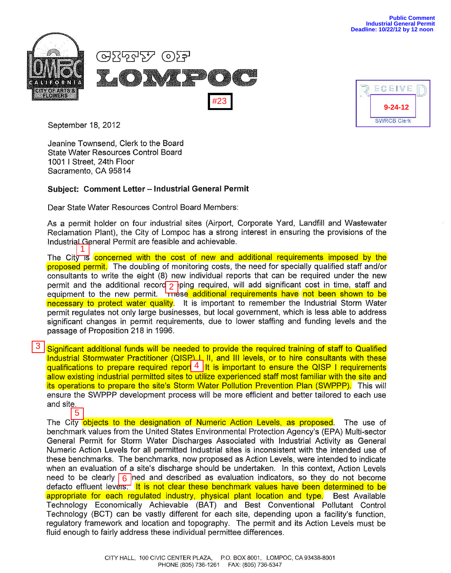

| ECEIVE                              |  |
|-------------------------------------|--|
|                                     |  |
| $9 - 24 - 12$<br><b>SWRCB Clerk</b> |  |

September 18, 2012

Jeanine Townsend, Clerk to the Board State Water Resources Control Board 1001 I Street, 24th Floor Sacramento, CA 95814

## Subject: Comment Letter - **Industrial General Permit**

Dear State Water Resources Control Board Members:

As a permit holder on four industrial sites (Airport, Corporate Yard, Landfill and Wastewater Reclamation Plant), the City of Lompoc has a strong interest in ensuring the provisions of the Industrial General Permit are feasible and achievable.

The City is concerned with the cost of new and additional requirements imposed by the proposed permit. The doubling of monitoring costs, the need for specially qualified staff and/or consultants to write the eight (8) new individual reports that can be required under the new permit and the additional record  $\frac{1}{2}$  ping required, will add significant cost in time, staff and equipment to the new permit. These additional requirements have not been shown to be necessary to protect water quality. It is important to remember the Industrial Storm Water permit regulates not only large businesses, but local government, which is less able to address significant changes in permit requirements, due to lower staffing and funding levels and the passage of Proposition 218 in 1996.

Significant additional funds will be needed to provide the required training of staff to Qualified Industrial Stormwater Practitioner (QISP) L, II, and III levels, or to hire consultants with these qualifications to prepare required report  $4 \vert$ It is important to ensure the QISP I requirements allow existing industrial permitted sites to utilize experienced staff most familiar with the site and its operations to prepare the site's Storm Water Pollution Prevention Plan (SWPPP). This will ensure the SWPPP development process will be more efficient and better tailored to each use and site.

The City objects to the designation of Numeric Action Levels, as proposed. The use of benchmark values from the United States Environmental Protection Agency's (EPA) Multi-sector General Permit for Storm Water Discharges Associated with Industrial Activity as General Numeric Action Levels for all permitted Industrial sites is inconsistent with the intended use of these benchmarks. The benchmarks, now proposed as Action Levels, were intended to indicate when an evaluation of a site's discharge should be undertaken. In this context, Action Levels need to be clearly  $\boxed{6}$  ned and described as evaluation indicators, so they do not become defacto effluent levers. It is not clear these benchmark values have been determined to be appropriate for each regulated industry, physical plant location and type. Best Available Technology Economically Achievable (BAT) and Best Conventional Pollutant Control Technology (BCT) can be vastly different for each site, depending upon a facility's function, regulatory framework and location and topography. The permit and its Action Levels must be fluid enough to fairly address these individual permittee differences. **Examples 18.** 18.2012<br>
Jeanine Townsend, Clerk to the Board<br>
State Nation Resources Control Board<br>
State Nation CR State Resources Control Board<br>
State Nation Resources Control Board<br>
Doar State Wards Control State Natio